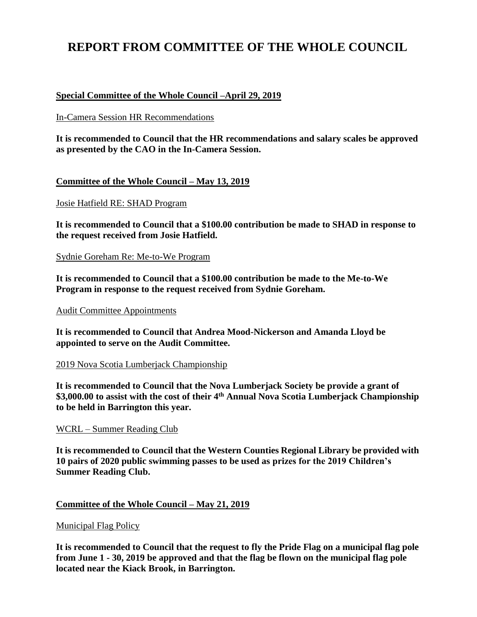# **REPORT FROM COMMITTEE OF THE WHOLE COUNCIL**

## **Special Committee of the Whole Council –April 29, 2019**

In-Camera Session HR Recommendations

**It is recommended to Council that the HR recommendations and salary scales be approved as presented by the CAO in the In-Camera Session.**

## **Committee of the Whole Council – May 13, 2019**

Josie Hatfield RE: SHAD Program

**It is recommended to Council that a \$100.00 contribution be made to SHAD in response to the request received from Josie Hatfield.**

Sydnie Goreham Re: Me-to-We Program

**It is recommended to Council that a \$100.00 contribution be made to the Me-to-We Program in response to the request received from Sydnie Goreham.**

#### Audit Committee Appointments

**It is recommended to Council that Andrea Mood-Nickerson and Amanda Lloyd be appointed to serve on the Audit Committee.**

#### 2019 Nova Scotia Lumberjack Championship

**It is recommended to Council that the Nova Lumberjack Society be provide a grant of \$3,000.00 to assist with the cost of their 4th Annual Nova Scotia Lumberjack Championship to be held in Barrington this year.**

#### WCRL – Summer Reading Club

**It is recommended to Council that the Western Counties Regional Library be provided with 10 pairs of 2020 public swimming passes to be used as prizes for the 2019 Children's Summer Reading Club.**

#### **Committee of the Whole Council – May 21, 2019**

#### Municipal Flag Policy

**It is recommended to Council that the request to fly the Pride Flag on a municipal flag pole from June 1 - 30, 2019 be approved and that the flag be flown on the municipal flag pole located near the Kiack Brook, in Barrington.**